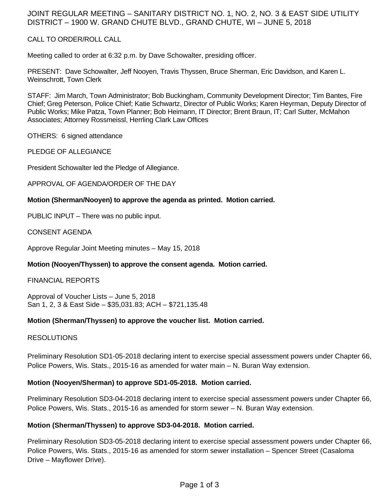## JOINT REGULAR MEETING – SANITARY DISTRICT NO. 1, NO. 2, NO. 3 & EAST SIDE UTILITY DISTRICT – 1900 W. GRAND CHUTE BLVD., GRAND CHUTE, WI – JUNE 5, 2018

## CALL TO ORDER/ROLL CALL

Meeting called to order at 6:32 p.m. by Dave Schowalter, presiding officer.

PRESENT: Dave Schowalter, Jeff Nooyen, Travis Thyssen, Bruce Sherman, Eric Davidson, and Karen L. Weinschrott, Town Clerk

STAFF: Jim March, Town Administrator; Bob Buckingham, Community Development Director; Tim Bantes, Fire Chief; Greg Peterson, Police Chief; Katie Schwartz, Director of Public Works; Karen Heyrman, Deputy Director of Public Works; Mike Patza, Town Planner; Bob Heimann, IT Director; Brent Braun, IT; Carl Sutter, McMahon Associates; Attorney Rossmeissl, Herrling Clark Law Offices

OTHERS: 6 signed attendance

PLEDGE OF ALLEGIANCE

President Schowalter led the Pledge of Allegiance.

APPROVAL OF AGENDA/ORDER OF THE DAY

#### **Motion (Sherman/Nooyen) to approve the agenda as printed. Motion carried.**

PUBLIC INPUT – There was no public input.

CONSENT AGENDA

Approve Regular Joint Meeting minutes – May 15, 2018

## **Motion (Nooyen/Thyssen) to approve the consent agenda. Motion carried.**

## FINANCIAL REPORTS

Approval of Voucher Lists – June 5, 2018 San 1, 2, 3 & East Side – \$35,031.83; ACH – \$721,135.48

#### **Motion (Sherman/Thyssen) to approve the voucher list. Motion carried.**

## RESOLUTIONS

Preliminary Resolution SD1-05-2018 declaring intent to exercise special assessment powers under Chapter 66, Police Powers, Wis. Stats., 2015-16 as amended for water main – N. Buran Way extension.

#### **Motion (Nooyen/Sherman) to approve SD1-05-2018. Motion carried.**

Preliminary Resolution SD3-04-2018 declaring intent to exercise special assessment powers under Chapter 66, Police Powers, Wis. Stats., 2015-16 as amended for storm sewer – N. Buran Way extension.

## **Motion (Sherman/Thyssen) to approve SD3-04-2018. Motion carried.**

Preliminary Resolution SD3-05-2018 declaring intent to exercise special assessment powers under Chapter 66, Police Powers, Wis. Stats., 2015-16 as amended for storm sewer installation – Spencer Street (Casaloma Drive – Mayflower Drive).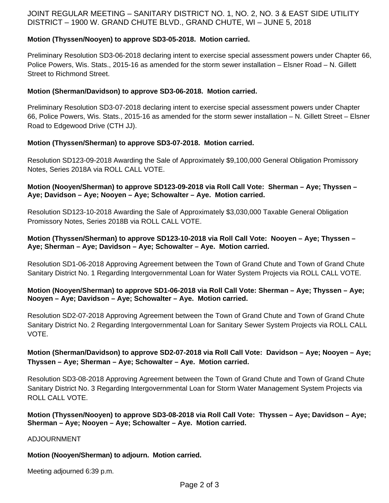# JOINT REGULAR MEETING – SANITARY DISTRICT NO. 1, NO. 2, NO. 3 & EAST SIDE UTILITY DISTRICT – 1900 W. GRAND CHUTE BLVD., GRAND CHUTE, WI – JUNE 5, 2018

## **Motion (Thyssen/Nooyen) to approve SD3-05-2018. Motion carried.**

Preliminary Resolution SD3-06-2018 declaring intent to exercise special assessment powers under Chapter 66, Police Powers, Wis. Stats., 2015-16 as amended for the storm sewer installation – Elsner Road – N. Gillett Street to Richmond Street.

## **Motion (Sherman/Davidson) to approve SD3-06-2018. Motion carried.**

Preliminary Resolution SD3-07-2018 declaring intent to exercise special assessment powers under Chapter 66, Police Powers, Wis. Stats., 2015-16 as amended for the storm sewer installation – N. Gillett Street – Elsner Road to Edgewood Drive (CTH JJ).

## **Motion (Thyssen/Sherman) to approve SD3-07-2018. Motion carried.**

Resolution SD123-09-2018 Awarding the Sale of Approximately \$9,100,000 General Obligation Promissory Notes, Series 2018A via ROLL CALL VOTE.

#### **Motion (Nooyen/Sherman) to approve SD123-09-2018 via Roll Call Vote: Sherman – Aye; Thyssen – Aye; Davidson – Aye; Nooyen – Aye; Schowalter – Aye. Motion carried.**

Resolution SD123-10-2018 Awarding the Sale of Approximately \$3,030,000 Taxable General Obligation Promissory Notes, Series 2018B via ROLL CALL VOTE.

## **Motion (Thyssen/Sherman) to approve SD123-10-2018 via Roll Call Vote: Nooyen – Aye; Thyssen – Aye; Sherman – Aye; Davidson – Aye; Schowalter – Aye. Motion carried.**

Resolution SD1-06-2018 Approving Agreement between the Town of Grand Chute and Town of Grand Chute Sanitary District No. 1 Regarding Intergovernmental Loan for Water System Projects via ROLL CALL VOTE.

## **Motion (Nooyen/Sherman) to approve SD1-06-2018 via Roll Call Vote: Sherman – Aye; Thyssen – Aye; Nooyen – Aye; Davidson – Aye; Schowalter – Aye. Motion carried.**

Resolution SD2-07-2018 Approving Agreement between the Town of Grand Chute and Town of Grand Chute Sanitary District No. 2 Regarding Intergovernmental Loan for Sanitary Sewer System Projects via ROLL CALL VOTE.

## **Motion (Sherman/Davidson) to approve SD2-07-2018 via Roll Call Vote: Davidson – Aye; Nooyen – Aye; Thyssen – Aye; Sherman – Aye; Schowalter – Aye. Motion carried.**

Resolution SD3-08-2018 Approving Agreement between the Town of Grand Chute and Town of Grand Chute Sanitary District No. 3 Regarding Intergovernmental Loan for Storm Water Management System Projects via ROLL CALL VOTE.

## **Motion (Thyssen/Nooyen) to approve SD3-08-2018 via Roll Call Vote: Thyssen – Aye; Davidson – Aye; Sherman – Aye; Nooyen – Aye; Schowalter – Aye. Motion carried.**

ADJOURNMENT

## **Motion (Nooyen/Sherman) to adjourn. Motion carried.**

Meeting adjourned 6:39 p.m.